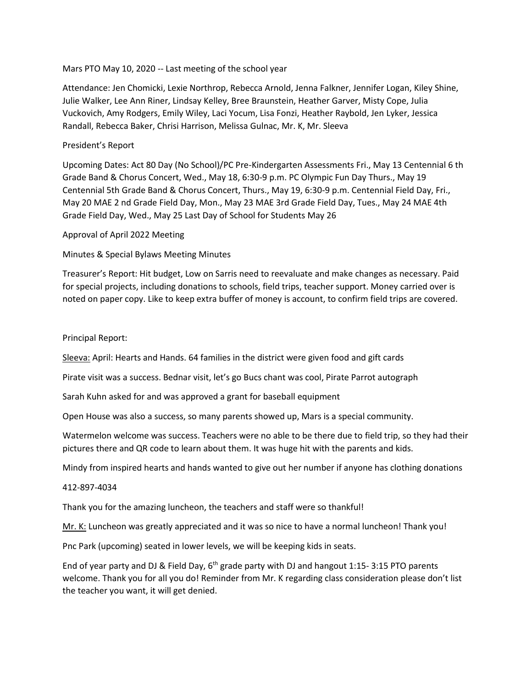## Mars PTO May 10, 2020 -- Last meeting of the school year

Attendance: Jen Chomicki, Lexie Northrop, Rebecca Arnold, Jenna Falkner, Jennifer Logan, Kiley Shine, Julie Walker, Lee Ann Riner, Lindsay Kelley, Bree Braunstein, Heather Garver, Misty Cope, Julia Vuckovich, Amy Rodgers, Emily Wiley, Laci Yocum, Lisa Fonzi, Heather Raybold, Jen Lyker, Jessica Randall, Rebecca Baker, Chrisi Harrison, Melissa Gulnac, Mr. K, Mr. Sleeva

## President's Report

Upcoming Dates: Act 80 Day (No School)/PC Pre-Kindergarten Assessments Fri., May 13 Centennial 6 th Grade Band & Chorus Concert, Wed., May 18, 6:30-9 p.m. PC Olympic Fun Day Thurs., May 19 Centennial 5th Grade Band & Chorus Concert, Thurs., May 19, 6:30-9 p.m. Centennial Field Day, Fri., May 20 MAE 2 nd Grade Field Day, Mon., May 23 MAE 3rd Grade Field Day, Tues., May 24 MAE 4th Grade Field Day, Wed., May 25 Last Day of School for Students May 26

Approval of April 2022 Meeting

Minutes & Special Bylaws Meeting Minutes

Treasurer's Report: Hit budget, Low on Sarris need to reevaluate and make changes as necessary. Paid for special projects, including donations to schools, field trips, teacher support. Money carried over is noted on paper copy. Like to keep extra buffer of money is account, to confirm field trips are covered.

Principal Report:

Sleeva: April: Hearts and Hands. 64 families in the district were given food and gift cards

Pirate visit was a success. Bednar visit, let's go Bucs chant was cool, Pirate Parrot autograph

Sarah Kuhn asked for and was approved a grant for baseball equipment

Open House was also a success, so many parents showed up, Mars is a special community.

Watermelon welcome was success. Teachers were no able to be there due to field trip, so they had their pictures there and QR code to learn about them. It was huge hit with the parents and kids.

Mindy from inspired hearts and hands wanted to give out her number if anyone has clothing donations

412-897-4034

Thank you for the amazing luncheon, the teachers and staff were so thankful!

Mr. K: Luncheon was greatly appreciated and it was so nice to have a normal luncheon! Thank you!

Pnc Park (upcoming) seated in lower levels, we will be keeping kids in seats.

End of year party and DJ & Field Day,  $6<sup>th</sup>$  grade party with DJ and hangout 1:15- 3:15 PTO parents welcome. Thank you for all you do! Reminder from Mr. K regarding class consideration please don't list the teacher you want, it will get denied.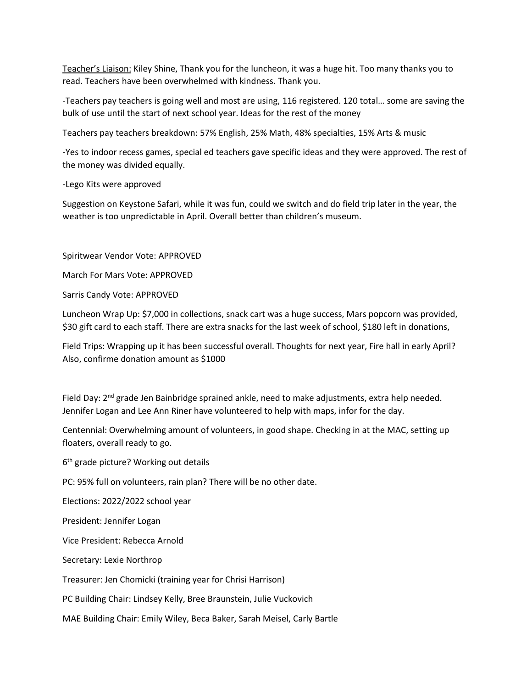Teacher's Liaison: Kiley Shine, Thank you for the luncheon, it was a huge hit. Too many thanks you to read. Teachers have been overwhelmed with kindness. Thank you.

-Teachers pay teachers is going well and most are using, 116 registered. 120 total… some are saving the bulk of use until the start of next school year. Ideas for the rest of the money

Teachers pay teachers breakdown: 57% English, 25% Math, 48% specialties, 15% Arts & music

-Yes to indoor recess games, special ed teachers gave specific ideas and they were approved. The rest of the money was divided equally.

-Lego Kits were approved

Suggestion on Keystone Safari, while it was fun, could we switch and do field trip later in the year, the weather is too unpredictable in April. Overall better than children's museum.

Spiritwear Vendor Vote: APPROVED

March For Mars Vote: APPROVED

Sarris Candy Vote: APPROVED

Luncheon Wrap Up: \$7,000 in collections, snack cart was a huge success, Mars popcorn was provided, \$30 gift card to each staff. There are extra snacks for the last week of school, \$180 left in donations,

Field Trips: Wrapping up it has been successful overall. Thoughts for next year, Fire hall in early April? Also, confirme donation amount as \$1000

Field Day: 2<sup>nd</sup> grade Jen Bainbridge sprained ankle, need to make adjustments, extra help needed. Jennifer Logan and Lee Ann Riner have volunteered to help with maps, infor for the day.

Centennial: Overwhelming amount of volunteers, in good shape. Checking in at the MAC, setting up floaters, overall ready to go.

6 th grade picture? Working out details

PC: 95% full on volunteers, rain plan? There will be no other date.

Elections: 2022/2022 school year

President: Jennifer Logan

Vice President: Rebecca Arnold

Secretary: Lexie Northrop

Treasurer: Jen Chomicki (training year for Chrisi Harrison)

PC Building Chair: Lindsey Kelly, Bree Braunstein, Julie Vuckovich

MAE Building Chair: Emily Wiley, Beca Baker, Sarah Meisel, Carly Bartle